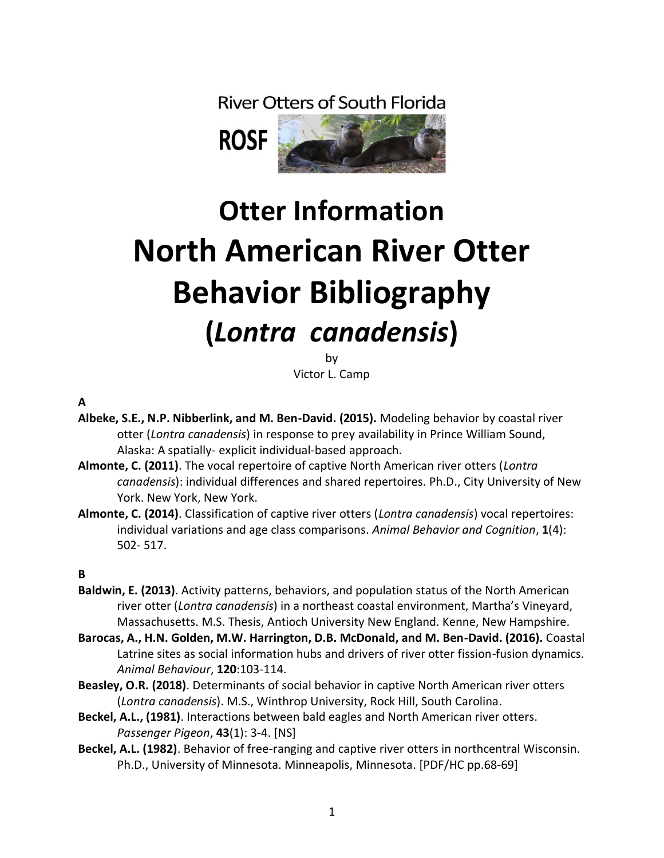**River Otters of South Florida** 



# **Otter Information North American River Otter Behavior Bibliography (***Lontra canadensis***)**

by

Victor L. Camp

**A**

- **Albeke, S.E., N.P. Nibberlink, and M. Ben-David. (2015).** Modeling behavior by coastal river otter (*Lontra canadensis*) in response to prey availability in Prince William Sound, Alaska: A spatially- explicit individual-based approach.
- **Almonte, C. (2011)**. The vocal repertoire of captive North American river otters (*Lontra canadensis*): individual differences and shared repertoires. Ph.D., City University of New York. New York, New York.
- **Almonte, C. (2014)**. Classification of captive river otters (*Lontra canadensis*) vocal repertoires: individual variations and age class comparisons. *Animal Behavior and Cognition*, **1**(4): 502- 517.

#### **B**

- **Baldwin, E. (2013)**. Activity patterns, behaviors, and population status of the North American river otter (*Lontra canadensis*) in a northeast coastal environment, Martha's Vineyard, Massachusetts. M.S. Thesis, Antioch University New England. Kenne, New Hampshire.
- **Barocas, A., H.N. Golden, M.W. Harrington, D.B. McDonald, and M. Ben-David. (2016).** Coastal Latrine sites as social information hubs and drivers of river otter fission-fusion dynamics. *Animal Behaviour*, **120**:103-114.
- **Beasley, O.R. (2018)**. Determinants of social behavior in captive North American river otters (*Lontra canadensis*). M.S., Winthrop University, Rock Hill, South Carolina.
- **Beckel, A.L., (1981)**. Interactions between bald eagles and North American river otters. *Passenger Pigeon*, **43**(1): 3-4. [NS]
- **Beckel, A.L. (1982)**. Behavior of free-ranging and captive river otters in northcentral Wisconsin. Ph.D., University of Minnesota. Minneapolis, Minnesota. [PDF/HC pp.68-69]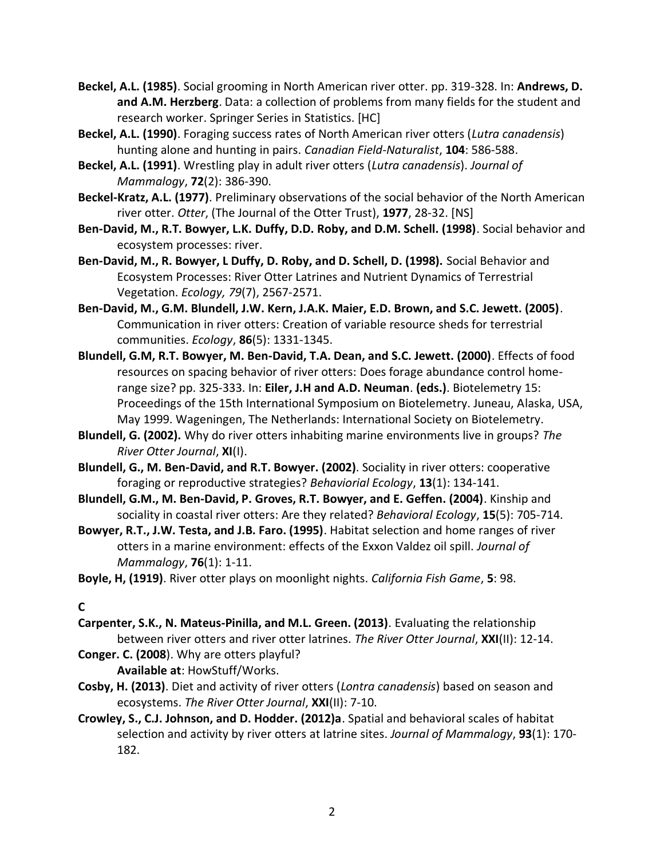- **Beckel, A.L. (1985)**. Social grooming in North American river otter. pp. 319-328. In: **Andrews, D. and A.M. Herzberg**. Data: a collection of problems from many fields for the student and research worker. Springer Series in Statistics. [HC]
- **Beckel, A.L. (1990)**. Foraging success rates of North American river otters (*Lutra canadensis*) hunting alone and hunting in pairs. *Canadian Field-Naturalist*, **104**: 586-588.
- **Beckel, A.L. (1991)**. Wrestling play in adult river otters (*Lutra canadensis*). *Journal of Mammalogy*, **72**(2): 386-390.
- **Beckel-Kratz, A.L. (1977)**. Preliminary observations of the social behavior of the North American river otter. *Otter*, (The Journal of the Otter Trust), **1977**, 28-32. [NS]
- **Ben-David, M., R.T. Bowyer, L.K. Duffy, D.D. Roby, and D.M. Schell. (1998)**. Social behavior and ecosystem processes: river.
- **Ben-David, M., R. Bowyer, L Duffy, D. Roby, and D. Schell, D. (1998).** Social Behavior and Ecosystem Processes: River Otter Latrines and Nutrient Dynamics of Terrestrial Vegetation. *Ecology, 79*(7), 2567-2571.
- **Ben-David, M., G.M. Blundell, J.W. Kern, J.A.K. Maier, E.D. Brown, and S.C. Jewett. (2005)**. Communication in river otters: Creation of variable resource sheds for terrestrial communities. *Ecology*, **86**(5): 1331-1345.
- **Blundell, G.M, R.T. Bowyer, M. Ben-David, T.A. Dean, and S.C. Jewett. (2000)**. Effects of food resources on spacing behavior of river otters: Does forage abundance control homerange size? pp. 325-333. In: **Eiler, J.H and A.D. Neuman**. **(eds.)**. Biotelemetry 15: Proceedings of the 15th International Symposium on Biotelemetry. Juneau, Alaska, USA, May 1999. Wageningen, The Netherlands: International Society on Biotelemetry.
- **Blundell, G. (2002).** Why do river otters inhabiting marine environments live in groups? *The River Otter Journal*, **XI**(I).
- **Blundell, G., M. Ben-David, and R.T. Bowyer. (2002)**. Sociality in river otters: cooperative foraging or reproductive strategies? *Behaviorial Ecology*, **13**(1): 134-141.
- **Blundell, G.M., M. Ben-David, P. Groves, R.T. Bowyer, and E. Geffen. (2004)**. Kinship and sociality in coastal river otters: Are they related? *Behavioral Ecology*, **15**(5): 705-714.
- **Bowyer, R.T., J.W. Testa, and J.B. Faro. (1995)**. Habitat selection and home ranges of river otters in a marine environment: effects of the Exxon Valdez oil spill. *Journal of Mammalogy*, **76**(1): 1-11.
- **Boyle, H, (1919)**. River otter plays on moonlight nights. *California Fish Game*, **5**: 98.

**C**

- **Carpenter, S.K., N. Mateus-Pinilla, and M.L. Green. (2013)**. Evaluating the relationship between river otters and river otter latrines. *The River Otter Journal*, **XXI**(II): 12-14.
- **Conger. C. (2008**). Why are otters playful? **Available at**: HowStuff/Works.
- **Cosby, H. (2013)**. Diet and activity of river otters (*Lontra canadensis*) based on season and ecosystems. *The River Otter Journal*, **XXI**(II): 7-10.
- **Crowley, S., C.J. Johnson, and D. Hodder. (2012)a**. Spatial and behavioral scales of habitat selection and activity by river otters at latrine sites. *Journal of Mammalogy*, **93**(1): 170- 182.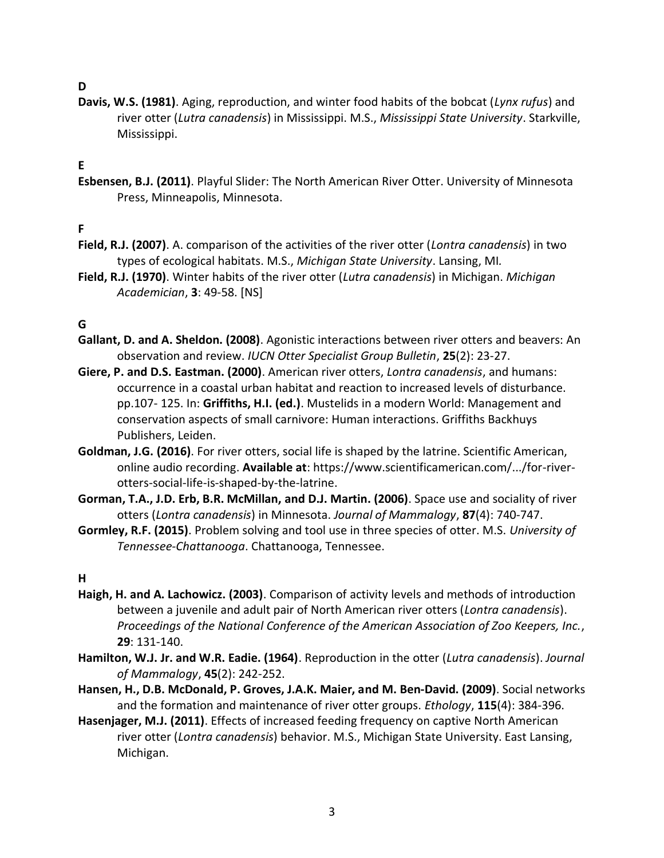### **D**

**Davis, W.S. (1981)**. Aging, reproduction, and winter food habits of the bobcat (*Lynx rufus*) and river otter (*Lutra canadensis*) in Mississippi. M.S., *Mississippi State University*. Starkville, Mississippi.

#### **E**

**Esbensen, B.J. (2011)**. Playful Slider: The North American River Otter. University of Minnesota Press, Minneapolis, Minnesota.

#### **F**

- **Field, R.J. (2007)**. A. comparison of the activities of the river otter (*Lontra canadensis*) in two types of ecological habitats. M.S., *Michigan State University*. Lansing, MI*.*
- **Field, R.J. (1970)**. Winter habits of the river otter (*Lutra canadensis*) in Michigan. *Michigan Academician*, **3**: 49-58. [NS]

#### **G**

- **Gallant, D. and A. Sheldon. (2008)**. Agonistic interactions between river otters and beavers: An observation and review. *IUCN Otter Specialist Group Bulletin*, **25**(2): 23-27.
- **Giere, P. and D.S. Eastman. (2000)**. American river otters, *Lontra canadensis*, and humans: occurrence in a coastal urban habitat and reaction to increased levels of disturbance. pp.107- 125. In: **Griffiths, H.I. (ed.)**. Mustelids in a modern World: Management and conservation aspects of small carnivore: Human interactions. Griffiths Backhuys Publishers, Leiden.
- **Goldman, J.G. (2016)**. For river otters, social life is shaped by the latrine. Scientific American, online audio recording. **Available at**: https://www.scientificamerican.com/.../for-riverotters-social-life-is-shaped-by-the-latrine.
- **Gorman, T.A., J.D. Erb, B.R. McMillan, and D.J. Martin. (2006)**. Space use and sociality of river otters (*Lontra canadensis*) in Minnesota. *Journal of Mammalogy*, **87**(4): 740-747.
- **Gormley, R.F. (2015)**. Problem solving and tool use in three species of otter. M.S. *University of Tennessee-Chattanooga*. Chattanooga, Tennessee.

#### **H**

- **Haigh, H. and A. Lachowicz. (2003)**. Comparison of activity levels and methods of introduction between a juvenile and adult pair of North American river otters (*Lontra canadensis*). *Proceedings of the National Conference of the American Association of Zoo Keepers, Inc.*, **29**: 131-140.
- **Hamilton, W.J. Jr. and W.R. Eadie. (1964)**. Reproduction in the otter (*Lutra canadensis*). *Journal of Mammalogy*, **45**(2): 242-252.
- **Hansen, H., D.B. McDonald, P. Groves, J.A.K. Maier, and M. Ben-David. (2009)**. Social networks and the formation and maintenance of river otter groups. *Ethology*, **115**(4): 384-396.
- **Hasenjager, M.J. (2011)**. Effects of increased feeding frequency on captive North American river otter (*Lontra canadensis*) behavior. M.S., Michigan State University. East Lansing, Michigan.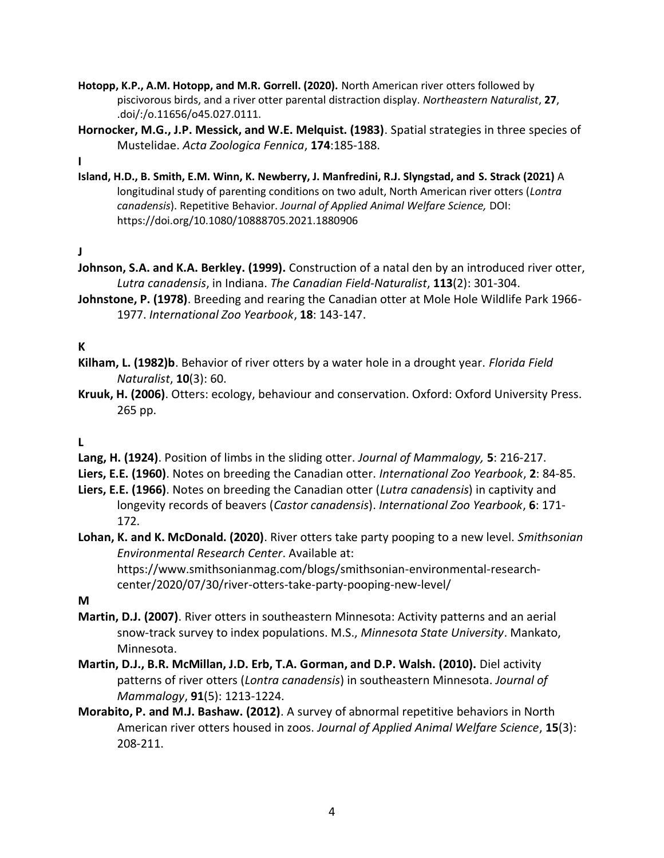- **Hotopp, K.P., A.M. Hotopp, and M.R. Gorrell. (2020).** North American river otters followed by piscivorous birds, and a river otter parental distraction display. *Northeastern Naturalist*, **27**, .doi/:/o.11656/o45.027.0111.
- **Hornocker, M.G., J.P. Messick, and W.E. Melquist. (1983)**. Spatial strategies in three species of Mustelidae. *Acta Zoologica Fennica*, **174**:185-188.

**I**

**Island, H.D., B. Smith, E.M. Winn, K. Newberry, J. Manfredini, R.J. Slyngstad, and S. Strack (2021)** A longitudinal study of parenting conditions on two adult, North American river otters (*Lontra canadensis*). Repetitive Behavior. *Journal of Applied Animal Welfare Science,* DOI: https://doi.org/10.1080/10888705.2021.1880906

**J**

- **Johnson, S.A. and K.A. Berkley. (1999).** Construction of a natal den by an introduced river otter, *Lutra canadensis*, in Indiana. *The Canadian Field-Naturalist*, **113**(2): 301-304.
- **Johnstone, P. (1978)**. Breeding and rearing the Canadian otter at Mole Hole Wildlife Park 1966- 1977. *International Zoo Yearbook*, **18**: 143-147.

# **K**

- **Kilham, L. (1982)b**. Behavior of river otters by a water hole in a drought year. *Florida Field Naturalist*, **10**(3): 60.
- **Kruuk, H. (2006)**. Otters: ecology, behaviour and conservation. Oxford: Oxford University Press. 265 pp.

#### **L**

- **Lang, H. (1924)**. Position of limbs in the sliding otter. *Journal of Mammalogy,* **5**: 216-217.
- **Liers, E.E. (1960)**. Notes on breeding the Canadian otter. *International Zoo Yearbook*, **2**: 84-85.
- **Liers, E.E. (1966)**. Notes on breeding the Canadian otter (*Lutra canadensis*) in captivity and longevity records of beavers (*Castor canadensis*). *International Zoo Yearbook*, **6**: 171- 172.
- **Lohan, K. and K. McDonald. (2020)**. River otters take party pooping to a new level. *Smithsonian Environmental Research Center*. Available at: https://www.smithsonianmag.com/blogs/smithsonian-environmental-researchcenter/2020/07/30/river-otters-take-party-pooping-new-level/

**M**

- **Martin, D.J. (2007)**. River otters in southeastern Minnesota: Activity patterns and an aerial snow-track survey to index populations. M.S., *Minnesota State University*. Mankato, Minnesota.
- **Martin, D.J., B.R. McMillan, J.D. Erb, T.A. Gorman, and D.P. Walsh. (2010).** Diel activity patterns of river otters (*Lontra canadensis*) in southeastern Minnesota. *Journal of Mammalogy*, **91**(5): 1213-1224.
- **Morabito, P. and M.J. Bashaw. (2012)**. A survey of abnormal repetitive behaviors in North American river otters housed in zoos. *Journal of Applied Animal Welfare Science*, **15**(3): 208-211.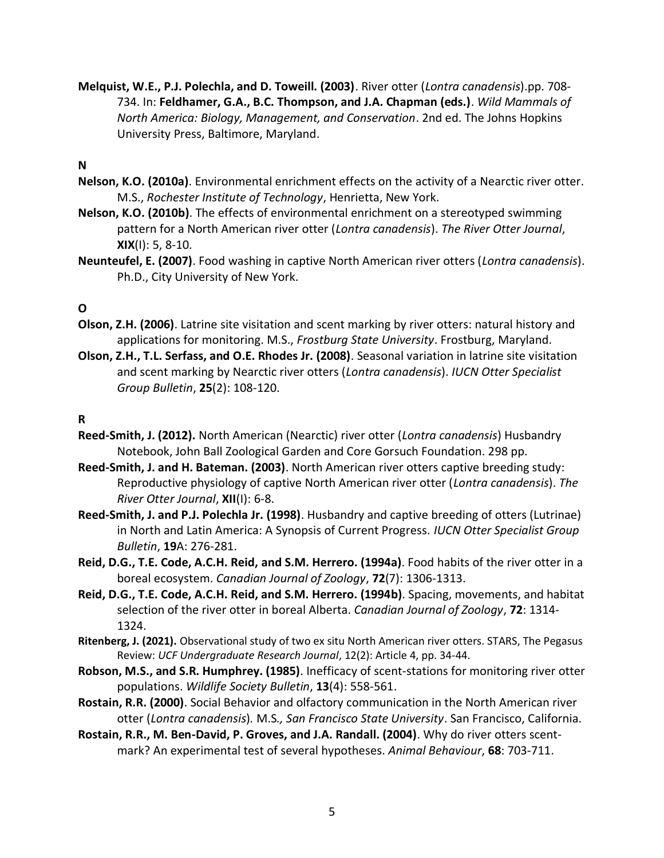**Melquist, W.E., P.J. Polechla, and D. Toweill. (2003)**. River otter (*Lontra canadensis*).pp. 708- 734. In: **Feldhamer, G.A., B.C. Thompson, and J.A. Chapman (eds.)**. *Wild Mammals of North America: Biology, Management, and Conservation*. 2nd ed. The Johns Hopkins University Press, Baltimore, Maryland.

#### **N**

- **Nelson, K.O. (2010a)**. Environmental enrichment effects on the activity of a Nearctic river otter. M.S., *Rochester Institute of Technology*, Henrietta, New York.
- **Nelson, K.O. (2010b)**. The effects of environmental enrichment on a stereotyped swimming pattern for a North American river otter (*Lontra canadensis*). *The River Otter Journal*, **XIX**(I): 5, 8-10.
- **Neunteufel, E. (2007)**. Food washing in captive North American river otters (*Lontra canadensis*). Ph.D., City University of New York.

# **O**

- **Olson, Z.H. (2006)**. Latrine site visitation and scent marking by river otters: natural history and applications for monitoring. M.S., *Frostburg State University*. Frostburg, Maryland.
- **Olson, Z.H., T.L. Serfass, and O.E. Rhodes Jr. (2008)**. Seasonal variation in latrine site visitation and scent marking by Nearctic river otters (*Lontra canadensis*). *IUCN Otter Specialist Group Bulletin*, **25**(2): 108-120.

#### **R**

- **Reed-Smith, J. (2012).** North American (Nearctic) river otter (*Lontra canadensis*) Husbandry Notebook, John Ball Zoological Garden and Core Gorsuch Foundation. 298 pp.
- **Reed-Smith, J. and H. Bateman. (2003)**. North American river otters captive breeding study: Reproductive physiology of captive North American river otter (*Lontra canadensis*). *The River Otter Journal*, **XII**(I): 6-8.
- **Reed-Smith, J. and P.J. Polechla Jr. (1998)**. Husbandry and captive breeding of otters (Lutrinae) in North and Latin America: A Synopsis of Current Progress. *IUCN Otter Specialist Group Bulletin*, **19**A: 276-281.
- **Reid, D.G., T.E. Code, A.C.H. Reid, and S.M. Herrero. (1994a)**. Food habits of the river otter in a boreal ecosystem. *Canadian Journal of Zoology*, **72**(7): 1306-1313.
- **Reid, D.G., T.E. Code, A.C.H. Reid, and S.M. Herrero. (1994b)**. Spacing, movements, and habitat selection of the river otter in boreal Alberta. *Canadian Journal of Zoology*, **72**: 1314- 1324.
- **Ritenberg, J. (2021).** Observational study of two ex situ North American river otters. STARS, The Pegasus Review: *UCF Undergraduate Research Journal*, 12(2): Article 4, pp. 34-44.
- **Robson, M.S., and S.R. Humphrey. (1985)**. Inefficacy of scent-stations for monitoring river otter populations. *Wildlife Society Bulletin*, **13**(4): 558-561.
- **Rostain, R.R. (2000)**. Social Behavior and olfactory communication in the North American river otter (*Lontra canadensis*)*.* M.S*., San Francisco State University*. San Francisco, California.
- **Rostain, R.R., M. Ben-David, P. Groves, and J.A. Randall. (2004)**. Why do river otters scentmark? An experimental test of several hypotheses. *Animal Behaviour*, **68**: 703-711.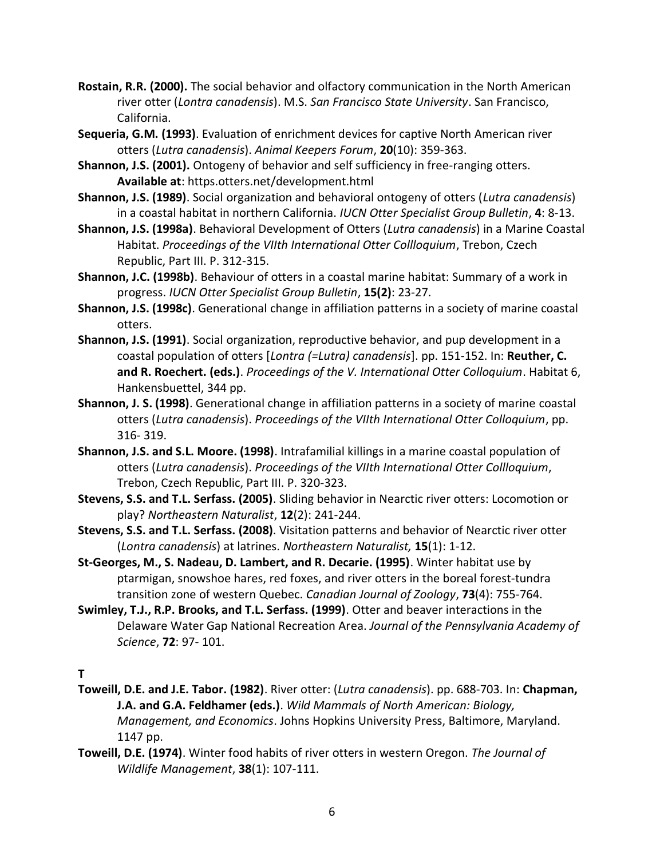- **Rostain, R.R. (2000).** The social behavior and olfactory communication in the North American river otter (*Lontra canadensis*). M.S. *San Francisco State University*. San Francisco, California.
- **Sequeria, G.M. (1993)**. Evaluation of enrichment devices for captive North American river otters (*Lutra canadensis*). *Animal Keepers Forum*, **20**(10): 359-363.
- **Shannon, J.S. (2001).** Ontogeny of behavior and self sufficiency in free-ranging otters. **Available at**: https.otters.net/development.html
- **Shannon, J.S. (1989)**. Social organization and behavioral ontogeny of otters (*Lutra canadensis*) in a coastal habitat in northern California. *IUCN Otter Specialist Group Bulletin*, **4**: 8-13.
- **Shannon, J.S. (1998a)**. Behavioral Development of Otters (*Lutra canadensis*) in a Marine Coastal Habitat. *Proceedings of the VIIth International Otter Collloquium*, Trebon, Czech Republic, Part III. P. 312-315.
- **Shannon, J.C. (1998b)**. Behaviour of otters in a coastal marine habitat: Summary of a work in progress. *IUCN Otter Specialist Group Bulletin*, **15(2)**: 23-27.
- **Shannon, J.S. (1998c)**. Generational change in affiliation patterns in a society of marine coastal otters.
- **Shannon, J.S. (1991)**. Social organization, reproductive behavior, and pup development in a coastal population of otters [*Lontra (=Lutra) canadensis*]. pp. 151-152. In: **Reuther, C. and R. Roechert. (eds.)**. *Proceedings of the V. International Otter Colloquium*. Habitat 6, Hankensbuettel, 344 pp.
- **Shannon, J. S. (1998)**. Generational change in affiliation patterns in a society of marine coastal otters (*Lutra canadensis*). *Proceedings of the VIIth International Otter Colloquium*, pp. 316- 319.
- **Shannon, J.S. and S.L. Moore. (1998)**. Intrafamilial killings in a marine coastal population of otters (*Lutra canadensis*). *Proceedings of the VIIth International Otter Collloquium*, Trebon, Czech Republic, Part III. P. 320-323.
- **Stevens, S.S. and T.L. Serfass. (2005)**. Sliding behavior in Nearctic river otters: Locomotion or play? *Northeastern Naturalist*, **12**(2): 241-244.
- **Stevens, S.S. and T.L. Serfass. (2008)**. Visitation patterns and behavior of Nearctic river otter (*Lontra canadensis*) at latrines. *Northeastern Naturalist,* **15**(1): 1-12.
- **St-Georges, M., S. Nadeau, D. Lambert, and R. Decarie. (1995)**. Winter habitat use by ptarmigan, snowshoe hares, red foxes, and river otters in the boreal forest-tundra transition zone of western Quebec. *Canadian Journal of Zoology*, **73**(4): 755-764.
- **Swimley, T.J., R.P. Brooks, and T.L. Serfass. (1999)**. Otter and beaver interactions in the Delaware Water Gap National Recreation Area. *Journal of the Pennsylvania Academy of Science*, **72**: 97- 101.

#### **T**

- **Toweill, D.E. and J.E. Tabor. (1982)**. River otter: (*Lutra canadensis*). pp. 688-703. In: **Chapman, J.A. and G.A. Feldhamer (eds.)**. *Wild Mammals of North American: Biology, Management, and Economics*. Johns Hopkins University Press, Baltimore, Maryland. 1147 pp.
- **Toweill, D.E. (1974)**. Winter food habits of river otters in western Oregon. *The Journal of Wildlife Management*, **38**(1): 107-111.